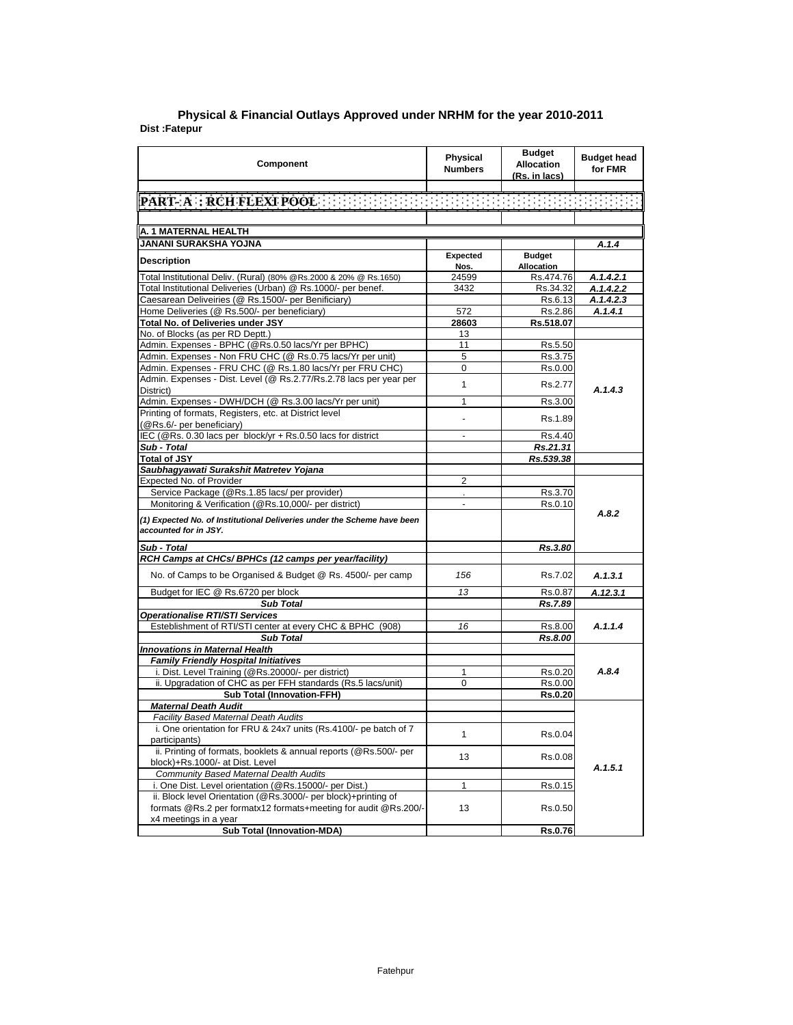|               | Physical & Financial Outlays Approved under NRHM for the year 2010-2011 |
|---------------|-------------------------------------------------------------------------|
| Dist :Fatepur |                                                                         |

| Component                                                                                        | <b>Physical</b><br><b>Numbers</b> | <b>Budget</b><br><b>Allocation</b><br>(Rs. in lacs) | <b>Budget head</b><br>for FMR |  |
|--------------------------------------------------------------------------------------------------|-----------------------------------|-----------------------------------------------------|-------------------------------|--|
|                                                                                                  |                                   |                                                     |                               |  |
| PART A RCH FLEXT POOL IN THE TELEVISION IN THE TELEVISION                                        |                                   |                                                     |                               |  |
|                                                                                                  |                                   |                                                     |                               |  |
| A. 1 MATERNAL HEALTH                                                                             |                                   |                                                     |                               |  |
| JANANI SURAKSHA YOJNA                                                                            |                                   |                                                     | A.1.4                         |  |
|                                                                                                  | Expected                          | <b>Budget</b>                                       |                               |  |
| <b>Description</b>                                                                               | Nos.                              | Allocation                                          |                               |  |
| Total Institutional Deliv. (Rural) (80% @Rs.2000 & 20% @ Rs.1650)                                | 24599                             | Rs.474.76                                           | A.1.4.2.1                     |  |
| Total Institutional Deliveries (Urban) @ Rs.1000/- per benef.                                    | 3432                              | Rs.34.32                                            | A.1.4.2.2                     |  |
| Caesarean Deliveiries (@ Rs.1500/- per Benificiary)                                              |                                   | Rs.6.13                                             | A.1.4.2.3                     |  |
| Home Deliveries (@ Rs.500/- per beneficiary)                                                     | 572                               | Rs.2.86                                             | A.1.4.1                       |  |
| <b>Total No. of Deliveries under JSY</b>                                                         | 28603                             | Rs.518.07                                           |                               |  |
| No. of Blocks (as per RD Deptt.)                                                                 | 13                                |                                                     |                               |  |
| Admin. Expenses - BPHC (@Rs.0.50 lacs/Yr per BPHC)                                               | 11                                | Rs.5.50                                             |                               |  |
| Admin. Expenses - Non FRU CHC (@ Rs.0.75 lacs/Yr per unit)                                       | 5                                 | Rs.3.75                                             |                               |  |
| Admin. Expenses - FRU CHC (@ Rs.1.80 lacs/Yr per FRU CHC)                                        | $\mathbf 0$                       | Rs.0.00                                             |                               |  |
| Admin. Expenses - Dist. Level (@ Rs.2.77/Rs.2.78 lacs per year per                               | $\mathbf{1}$                      | Rs.2.77                                             |                               |  |
| District)                                                                                        |                                   |                                                     | A.1.4.3                       |  |
| Admin. Expenses - DWH/DCH (@ Rs.3.00 lacs/Yr per unit)                                           | $\mathbf{1}$                      | Rs.3.00                                             |                               |  |
| Printing of formats, Registers, etc. at District level<br>(@Rs.6/- per beneficiary)              | ä,                                | Rs.1.89                                             |                               |  |
| IEC (@Rs. 0.30 lacs per block/yr + Rs.0.50 lacs for district                                     | ٠                                 | Rs.4.40                                             |                               |  |
| Sub - Total                                                                                      |                                   | Rs.21.31                                            |                               |  |
| <b>Total of JSY</b>                                                                              |                                   | Rs.539.38                                           |                               |  |
| Saubhagyawati Surakshit Matretev Yojana                                                          |                                   |                                                     |                               |  |
| Expected No. of Provider                                                                         | 2                                 |                                                     |                               |  |
| Service Package (@Rs.1.85 lacs/ per provider)                                                    |                                   | Rs.3.70                                             |                               |  |
| Monitoring & Verification (@Rs.10,000/- per district)                                            | $\overline{\phantom{a}}$          | Rs.0.10                                             |                               |  |
| (1) Expected No. of Institutional Deliveries under the Scheme have been<br>accounted for in JSY. |                                   |                                                     | A.8.2                         |  |
| Sub - Total                                                                                      |                                   | Rs.3.80                                             |                               |  |
| RCH Camps at CHCs/ BPHCs (12 camps per year/facility)                                            |                                   |                                                     |                               |  |
| No. of Camps to be Organised & Budget @ Rs. 4500/- per camp                                      | 156                               | Rs.7.02                                             | A.1.3.1                       |  |
| Budget for IEC @ Rs.6720 per block                                                               | 13                                | Rs.0.87                                             | A.12.3.1                      |  |
| <b>Sub Total</b>                                                                                 |                                   | Rs.7.89                                             |                               |  |
| <b>Operationalise RTI/STI Services</b>                                                           |                                   |                                                     |                               |  |
| Esteblishment of RTI/STI center at every CHC & BPHC (908)                                        | 16                                | Rs.8.00                                             | A.1.1.4                       |  |
| <b>Sub Total</b>                                                                                 |                                   | Rs.8.00                                             |                               |  |
| <b>Innovations in Maternal Health</b>                                                            |                                   |                                                     |                               |  |
| <b>Family Friendly Hospital Initiatives</b>                                                      |                                   |                                                     |                               |  |
| i. Dist. Level Training (@Rs.20000/- per district)                                               | 1                                 | Rs.0.20                                             | A.8.4                         |  |
| ii. Upgradation of CHC as per FFH standards (Rs.5 lacs/unit)                                     | 0                                 | Rs.0.00                                             |                               |  |
| <b>Sub Total (Innovation-FFH)</b>                                                                |                                   | <b>Rs.0.20</b>                                      |                               |  |
| <b>Maternal Death Audit</b>                                                                      |                                   |                                                     |                               |  |
| <b>Facility Based Maternal Death Audits</b>                                                      |                                   |                                                     |                               |  |
| i. One orientation for FRU & 24x7 units (Rs.4100/- pe batch of 7                                 | 1                                 | Rs.0.04                                             |                               |  |
| participants)                                                                                    |                                   |                                                     |                               |  |
| ii. Printing of formats, booklets & annual reports (@Rs.500/- per                                | 13                                | Rs.0.08                                             |                               |  |
| block)+Rs.1000/- at Dist. Level<br><b>Community Based Maternal Dealth Audits</b>                 |                                   |                                                     | A.1.5.1                       |  |
| i. One Dist. Level orientation (@Rs.15000/- per Dist.)                                           | 1                                 |                                                     |                               |  |
| ii. Block level Orientation (@Rs.3000/- per block)+printing of                                   |                                   | Rs.0.15                                             |                               |  |
| formats @Rs.2 per formatx12 formats+meeting for audit @Rs.200/-                                  | 13                                | Rs.0.50                                             |                               |  |
| x4 meetings in a year                                                                            |                                   |                                                     |                               |  |
| <b>Sub Total (Innovation-MDA)</b>                                                                |                                   | Rs.0.76                                             |                               |  |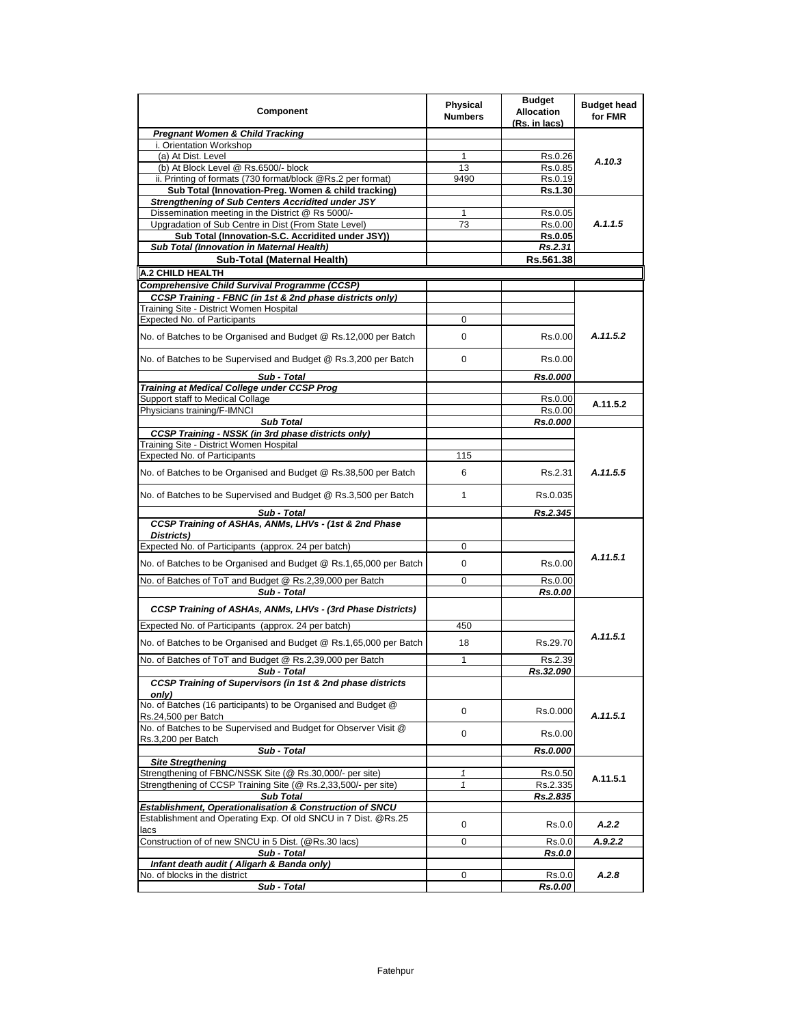| Component                                                                                                                  | <b>Physical</b><br><b>Numbers</b> | <b>Budget</b><br><b>Allocation</b><br>(Rs. in lacs) | <b>Budget head</b><br>for FMR |
|----------------------------------------------------------------------------------------------------------------------------|-----------------------------------|-----------------------------------------------------|-------------------------------|
| <b>Pregnant Women &amp; Child Tracking</b>                                                                                 |                                   |                                                     |                               |
| i. Orientation Workshop                                                                                                    |                                   |                                                     |                               |
| (a) At Dist. Level                                                                                                         | 1                                 | Rs.0.26                                             | A.10.3                        |
| (b) At Block Level @ Rs.6500/- block<br>ii. Printing of formats (730 format/block @Rs.2 per format)                        | 13                                | Rs.0.85                                             |                               |
| Sub Total (Innovation-Preg. Women & child tracking)                                                                        | 9490                              | Rs.0.19<br>Rs.1.30                                  |                               |
| <b>Strengthening of Sub Centers Accridited under JSY</b>                                                                   |                                   |                                                     |                               |
| Dissemination meeting in the District @ Rs 5000/-                                                                          | 1                                 | Rs.0.05                                             |                               |
| Upgradation of Sub Centre in Dist (From State Level)                                                                       | 73                                | Rs.0.00                                             | A.1.1.5                       |
| Sub Total (Innovation-S.C. Accridited under JSY))                                                                          |                                   | <b>Rs.0.05</b>                                      |                               |
| Sub Total (Innovation in Maternal Health)                                                                                  |                                   | Rs.2.31                                             |                               |
| Sub-Total (Maternal Health)                                                                                                |                                   | Rs.561.38                                           |                               |
| <b>A.2 CHILD HEALTH</b>                                                                                                    |                                   |                                                     |                               |
| Comprehensive Child Survival Programme (CCSP)                                                                              |                                   |                                                     |                               |
| CCSP Training - FBNC (in 1st & 2nd phase districts only)                                                                   |                                   |                                                     |                               |
| Training Site - District Women Hospital                                                                                    |                                   |                                                     |                               |
| Expected No. of Participants                                                                                               | 0                                 |                                                     |                               |
| No. of Batches to be Organised and Budget @ Rs.12,000 per Batch                                                            | 0                                 | Rs.0.00                                             | A.11.5.2                      |
| No. of Batches to be Supervised and Budget @ Rs.3,200 per Batch                                                            | 0                                 | Rs 0.00                                             |                               |
| Sub - Total                                                                                                                |                                   | Rs.0.000                                            |                               |
| Training at Medical College under CCSP Prog                                                                                |                                   |                                                     |                               |
| Support staff to Medical Collage                                                                                           |                                   | Rs.0.00                                             | A.11.5.2                      |
| Physicians training/F-IMNCI                                                                                                |                                   | Rs.0.00                                             |                               |
| <b>Sub Total</b><br><b>CCSP Training - NSSK (in 3rd phase districts only)</b>                                              |                                   | Rs.0.000                                            |                               |
| Training Site - District Women Hospital                                                                                    |                                   |                                                     |                               |
| <b>Expected No. of Participants</b>                                                                                        | 115                               |                                                     |                               |
| No. of Batches to be Organised and Budget @ Rs.38,500 per Batch                                                            | 6                                 | Rs.2.31                                             | A.11.5.5                      |
| No. of Batches to be Supervised and Budget @ Rs.3,500 per Batch                                                            | 1                                 | Rs.0.035                                            |                               |
| Sub - Total                                                                                                                |                                   | Rs.2.345                                            |                               |
| CCSP Training of ASHAs, ANMs, LHVs - (1st & 2nd Phase<br>Districts)                                                        |                                   |                                                     |                               |
| Expected No. of Participants (approx. 24 per batch)                                                                        | 0                                 |                                                     |                               |
|                                                                                                                            |                                   |                                                     | A.11.5.1                      |
| No. of Batches to be Organised and Budget @ Rs.1,65,000 per Batch                                                          | 0                                 | Rs 0.00                                             |                               |
| No. of Batches of ToT and Budget @ Rs.2,39,000 per Batch<br>Sub - Total                                                    | 0                                 | Rs.0.00<br>Rs.0.00                                  |                               |
| <b>CCSP Training of ASHAs, ANMs, LHVs - (3rd Phase Districts)</b>                                                          |                                   |                                                     |                               |
| Expected No. of Participants (approx. 24 per batch)                                                                        | 450                               |                                                     |                               |
| No. of Batches to be Organised and Budget @ Rs.1,65,000 per Batch                                                          | 18                                | Rs.29.70                                            | A.11.5.1                      |
| No. of Batches of ToT and Budget @ Rs.2,39,000 per Batch                                                                   | 1                                 | Rs.2.39                                             |                               |
| Sub - Total                                                                                                                |                                   | Rs.32.090                                           |                               |
| CCSP Training of Supervisors (in 1st & 2nd phase districts<br>onlv)                                                        |                                   |                                                     |                               |
| No. of Batches (16 participants) to be Organised and Budget @<br>Rs.24,500 per Batch                                       | $\mathbf 0$                       | Rs.0.000                                            | A.11.5.1                      |
| No. of Batches to be Supervised and Budget for Observer Visit @<br>Rs.3,200 per Batch                                      | 0                                 | Rs.0.00                                             |                               |
| Sub - Total                                                                                                                |                                   | Rs.0.000                                            |                               |
| <b>Site Stregthening</b>                                                                                                   |                                   |                                                     |                               |
| Strengthening of FBNC/NSSK Site (@ Rs.30,000/- per site)                                                                   | 1                                 | Rs.0.50                                             | A.11.5.1                      |
| Strengthening of CCSP Training Site (@ Rs.2,33,500/- per site)                                                             | 1                                 | Rs.2.335                                            |                               |
| <b>Sub Total</b>                                                                                                           |                                   | Rs.2.835                                            |                               |
| Establishment, Operationalisation & Construction of SNCU<br>Establishment and Operating Exp. Of old SNCU in 7 Dist. @Rs.25 | 0                                 | Rs.0.0                                              | A.2.2                         |
| lacs<br>Construction of of new SNCU in 5 Dist. (@Rs.30 lacs)                                                               |                                   |                                                     |                               |
| Sub - Total                                                                                                                | 0                                 | Rs.0.0<br>Rs.0.0                                    | A.9.2.2                       |
| Infant death audit (Aligarh & Banda only)                                                                                  |                                   |                                                     |                               |
| No. of blocks in the district                                                                                              | 0                                 | Rs.0.0                                              | A.2.8                         |
| Sub - Total                                                                                                                |                                   | Rs.0.00                                             |                               |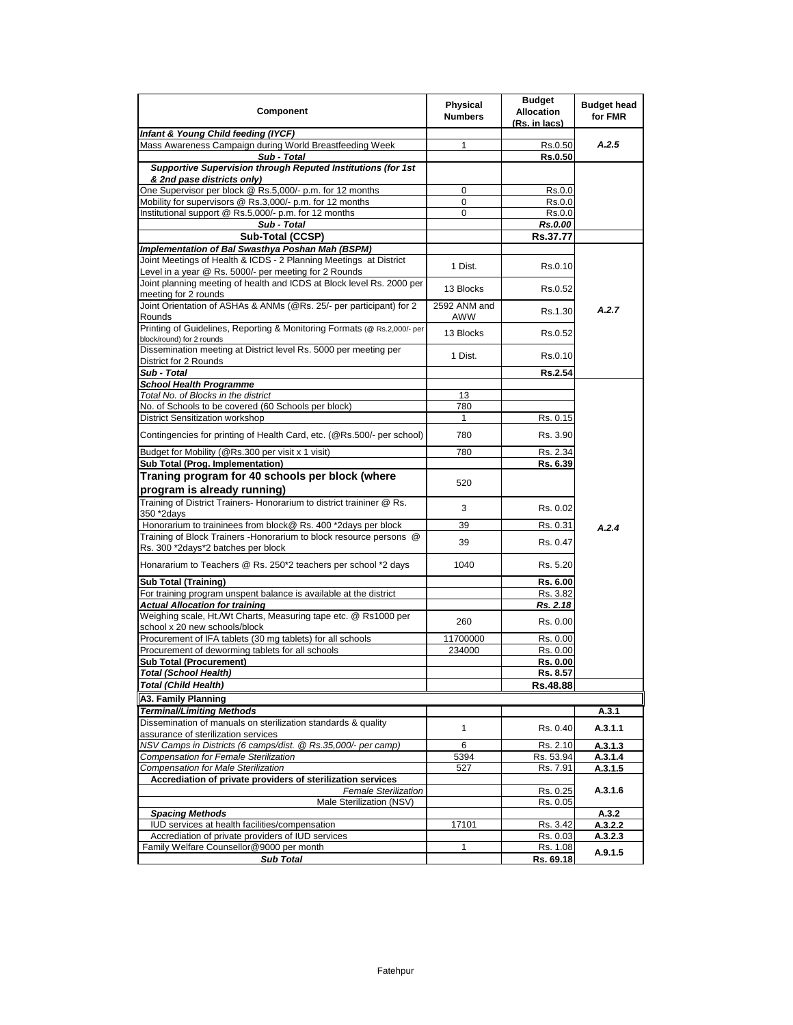| Component                                                                                                                      | <b>Physical</b><br><b>Numbers</b> | <b>Budget</b><br><b>Allocation</b><br>(Rs. in lacs) | <b>Budget head</b><br>for FMR |
|--------------------------------------------------------------------------------------------------------------------------------|-----------------------------------|-----------------------------------------------------|-------------------------------|
| Infant & Young Child feeding (IYCF)                                                                                            |                                   |                                                     |                               |
| Mass Awareness Campaign during World Breastfeeding Week                                                                        | 1                                 | Rs 0.50                                             | A.2.5                         |
| Sub - Total                                                                                                                    |                                   | <b>Rs.0.50</b>                                      |                               |
| Supportive Supervision through Reputed Institutions (for 1st                                                                   |                                   |                                                     |                               |
| & 2nd pase districts only)                                                                                                     |                                   |                                                     |                               |
| One Supervisor per block @ Rs.5,000/- p.m. for 12 months                                                                       | 0                                 | Rs.0.0                                              |                               |
| Mobility for supervisors @ Rs.3,000/- p.m. for 12 months<br>Institutional support @ Rs.5,000/- p.m. for 12 months              | 0<br>0                            | Rs.0.0                                              |                               |
| Sub - Total                                                                                                                    |                                   | Rs.0.0                                              |                               |
|                                                                                                                                |                                   | Rs.0.00                                             |                               |
| Sub-Total (CCSP)                                                                                                               |                                   | Rs.37.77                                            |                               |
| Implementation of Bal Swasthya Poshan Mah (BSPM)                                                                               |                                   |                                                     |                               |
| Joint Meetings of Health & ICDS - 2 Planning Meetings at District                                                              | 1 Dist.                           | Rs.0.10                                             |                               |
| Level in a year @ Rs. 5000/- per meeting for 2 Rounds<br>Joint planning meeting of health and ICDS at Block level Rs. 2000 per |                                   |                                                     |                               |
|                                                                                                                                | 13 Blocks                         | Rs.0.52                                             |                               |
| meeting for 2 rounds<br>Joint Orientation of ASHAs & ANMs (@Rs. 25/- per participant) for 2                                    | 2592 ANM and                      |                                                     |                               |
| Rounds                                                                                                                         | AWW                               | Rs.1.30                                             | A.2.7                         |
| Printing of Guidelines, Reporting & Monitoring Formats (@ Rs.2,000/- per<br>block/round) for 2 rounds                          | 13 Blocks                         | Rs 0.52                                             |                               |
| Dissemination meeting at District level Rs. 5000 per meeting per<br>District for 2 Rounds                                      | 1 Dist.                           | Rs.0.10                                             |                               |
| Sub - Total                                                                                                                    |                                   | <b>Rs.2.54</b>                                      |                               |
| <b>School Health Programme</b>                                                                                                 |                                   |                                                     |                               |
| Total No. of Blocks in the district                                                                                            | 13                                |                                                     |                               |
| No. of Schools to be covered (60 Schools per block)                                                                            | 780                               |                                                     |                               |
| District Sensitization workshop                                                                                                |                                   | Rs. 0.15                                            |                               |
| Contingencies for printing of Health Card, etc. (@Rs.500/- per school)                                                         | 780                               | Rs. 3.90                                            |                               |
|                                                                                                                                |                                   |                                                     |                               |
| Budget for Mobility (@Rs.300 per visit x 1 visit)                                                                              | 780                               | Rs. 2.34                                            |                               |
| Sub Total (Prog. Implementation)                                                                                               |                                   | Rs. 6.39                                            |                               |
| Traning program for 40 schools per block (where                                                                                | 520                               |                                                     |                               |
| program is already running)                                                                                                    |                                   |                                                     |                               |
| Training of District Trainers- Honorarium to district traininer @ Rs.                                                          | 3                                 | Rs 0.02                                             |                               |
| 350 *2days                                                                                                                     |                                   |                                                     |                               |
| Honorarium to traininees from block@ Rs. 400 *2days per block                                                                  | 39                                | Rs. 0.31                                            | A.2.4                         |
| Training of Block Trainers - Honorarium to block resource persons @                                                            | 39                                | Rs. 0.47                                            |                               |
| Rs. 300 *2days*2 batches per block                                                                                             |                                   |                                                     |                               |
| Honararium to Teachers @ Rs. 250*2 teachers per school *2 days                                                                 | 1040                              | Rs. 5.20                                            |                               |
| <b>Sub Total (Training)</b>                                                                                                    |                                   | Rs. 6.00                                            |                               |
| For training program unspent balance is available at the district                                                              |                                   | Rs. 3.82                                            |                               |
| <b>Actual Allocation for training</b>                                                                                          |                                   | Rs. 2.18                                            |                               |
| Weighing scale, Ht./Wt Charts, Measuring tape etc. @ Rs1000 per                                                                |                                   |                                                     |                               |
| school x 20 new schools/block                                                                                                  | 260                               | Rs. 0.00                                            |                               |
| Procurement of IFA tablets (30 mg tablets) for all schools                                                                     | 11700000                          | Rs. 0.00                                            |                               |
| Procurement of deworming tablets for all schools                                                                               | 234000                            | Rs. 0.00                                            |                               |
| <b>Sub Total (Procurement)</b>                                                                                                 |                                   | Rs. 0.00                                            |                               |
| Total (School Health)                                                                                                          |                                   | Rs. 8.57                                            |                               |
| <b>Total (Child Health)</b>                                                                                                    |                                   | Rs.48.88                                            |                               |
| A3. Family Planning                                                                                                            |                                   |                                                     |                               |
| Terminal/Limiting Methods                                                                                                      |                                   |                                                     | A.3.1                         |
| Dissemination of manuals on sterilization standards & quality                                                                  |                                   |                                                     |                               |
| assurance of sterilization services                                                                                            | 1                                 | Rs. 0.40                                            | A.3.1.1                       |
| NSV Camps in Districts (6 camps/dist. @ Rs.35,000/- per camp)                                                                  | 6<br>5394                         | Rs. 2.10                                            | A.3.1.3                       |
| Compensation for Female Sterilization                                                                                          |                                   | Rs. 53.94                                           | A.3.1.4                       |
| <b>Compensation for Male Sterilization</b><br>Accrediation of private providers of sterilization services                      | 527                               | Rs. 7.91                                            | A.3.1.5                       |
| <b>Female Sterilization</b>                                                                                                    |                                   | Rs. 0.25                                            | A.3.1.6                       |
| Male Sterilization (NSV)                                                                                                       |                                   | Rs. 0.05                                            |                               |
| <b>Spacing Methods</b>                                                                                                         |                                   |                                                     | A.3.2                         |
| IUD services at health facilities/compensation                                                                                 | 17101                             | Rs. 3.42                                            | A.3.2.2                       |
| Accrediation of private providers of IUD services                                                                              |                                   | Rs. 0.03                                            | A.3.2.3                       |
| Family Welfare Counsellor@9000 per month                                                                                       | 1                                 | Rs. 1.08                                            |                               |
| <b>Sub Total</b>                                                                                                               |                                   | Rs. 69.18                                           | A.9.1.5                       |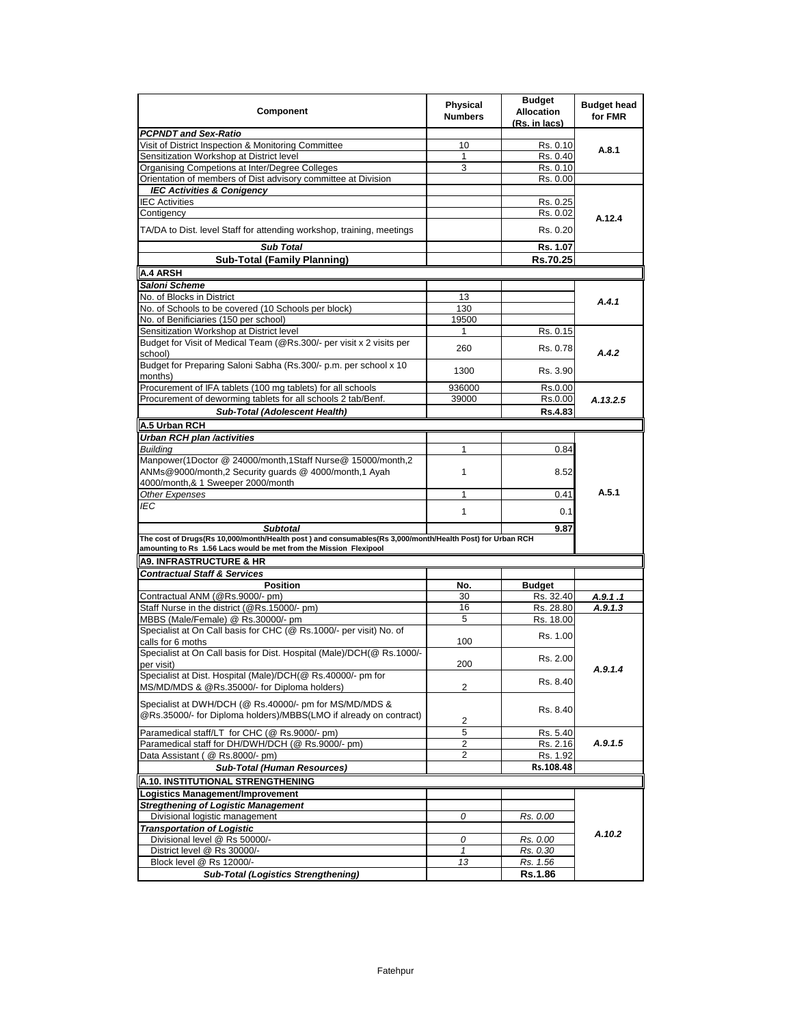| Component                                                                                                                                                                     | <b>Physical</b><br><b>Numbers</b> | <b>Budget</b><br><b>Allocation</b><br>(Rs. in lacs) | <b>Budget head</b><br>for FMR |
|-------------------------------------------------------------------------------------------------------------------------------------------------------------------------------|-----------------------------------|-----------------------------------------------------|-------------------------------|
| <b>PCPNDT and Sex-Ratio</b>                                                                                                                                                   |                                   |                                                     |                               |
| Visit of District Inspection & Monitoring Committee                                                                                                                           | 10                                | Rs. 0.10                                            | A.8.1                         |
| Sensitization Workshop at District level                                                                                                                                      | 1                                 | Rs. 0.40                                            |                               |
| Organising Competions at Inter/Degree Colleges                                                                                                                                | 3                                 | Rs. 0.10                                            |                               |
| Orientation of members of Dist advisory committee at Division                                                                                                                 |                                   | Rs. 0.00                                            |                               |
| <b>IEC Activities &amp; Conigency</b>                                                                                                                                         |                                   |                                                     |                               |
| <b>IEC Activities</b>                                                                                                                                                         |                                   | Rs. 0.25                                            |                               |
| Contigency                                                                                                                                                                    |                                   | Rs. 0.02                                            | A.12.4                        |
| TA/DA to Dist. level Staff for attending workshop, training, meetings                                                                                                         |                                   | Rs. 0.20                                            |                               |
| Sub Total                                                                                                                                                                     |                                   | Rs. 1.07                                            |                               |
| <b>Sub-Total (Family Planning)</b>                                                                                                                                            |                                   | Rs.70.25                                            |                               |
| <b>A.4 ARSH</b>                                                                                                                                                               |                                   |                                                     |                               |
| Saloni Scheme                                                                                                                                                                 |                                   |                                                     |                               |
| No. of Blocks in District                                                                                                                                                     | 13                                |                                                     |                               |
| No. of Schools to be covered (10 Schools per block)                                                                                                                           | 130                               |                                                     | A.4.1                         |
| No. of Benificiaries (150 per school)                                                                                                                                         | 19500                             |                                                     |                               |
| Sensitization Workshop at District level                                                                                                                                      | $\mathbf{1}$                      | Rs. 0.15                                            |                               |
| Budget for Visit of Medical Team (@Rs.300/- per visit x 2 visits per                                                                                                          |                                   |                                                     |                               |
| school)                                                                                                                                                                       | 260                               | Rs. 0.78                                            | A.4.2                         |
| Budget for Preparing Saloni Sabha (Rs.300/- p.m. per school x 10<br>months)                                                                                                   | 1300                              | Rs. 3.90                                            |                               |
| Procurement of IFA tablets (100 mg tablets) for all schools                                                                                                                   | 936000                            | Rs.0.00                                             |                               |
| Procurement of deworming tablets for all schools 2 tab/Benf.                                                                                                                  | 39000                             | Rs.0.00                                             | A.13.2.5                      |
| <b>Sub-Total (Adolescent Health)</b>                                                                                                                                          |                                   | <b>Rs.4.83</b>                                      |                               |
| A.5 Urban RCH                                                                                                                                                                 |                                   |                                                     |                               |
|                                                                                                                                                                               |                                   |                                                     |                               |
| <b>Urban RCH plan /activities</b>                                                                                                                                             | 1                                 |                                                     |                               |
| <b>Building</b>                                                                                                                                                               |                                   | 0.84                                                |                               |
| Manpower(1Doctor @ 24000/month,1Staff Nurse@ 15000/month,2<br>ANMs@9000/month,2 Security guards @ 4000/month,1 Ayah<br>4000/month,& 1 Sweeper 2000/month                      | 1                                 | 8.52                                                |                               |
| Other Expenses                                                                                                                                                                | 1                                 | 0.41                                                | A.5.1                         |
| IEC                                                                                                                                                                           |                                   |                                                     |                               |
|                                                                                                                                                                               | 1                                 | 0.1                                                 |                               |
| <b>Subtotal</b>                                                                                                                                                               |                                   | 9.87                                                |                               |
| The cost of Drugs(Rs 10,000/month/Health post) and consumables(Rs 3,000/month/Health Post) for Urban RCH<br>amounting to Rs 1.56 Lacs would be met from the Mission Flexipool |                                   |                                                     |                               |
| <b>A9. INFRASTRUCTURE &amp; HR</b>                                                                                                                                            |                                   |                                                     |                               |
| <b>Contractual Staff &amp; Services</b>                                                                                                                                       |                                   |                                                     |                               |
| <b>Position</b>                                                                                                                                                               | No.                               | <b>Budget</b>                                       |                               |
| Contractual ANM (@Rs.9000/- pm)                                                                                                                                               | 30                                | Rs. 32.40                                           | A.9.1.1                       |
| Staff Nurse in the district (@Rs.15000/- pm)                                                                                                                                  | 16                                | Rs. 28.80                                           | A.9.1.3                       |
| MBBS (Male/Female) @ Rs.30000/- pm                                                                                                                                            | 5                                 | Rs. 18.00                                           |                               |
| Specialist at On Call basis for CHC (@ Rs.1000/- per visit) No. of<br>calls for 6 moths                                                                                       | 100                               | Rs. 1.00                                            |                               |
| Specialist at On Call basis for Dist. Hospital (Male)/DCH(@ Rs.1000/-                                                                                                         |                                   |                                                     |                               |
| per visit)                                                                                                                                                                    | 200                               | Rs. 2.00                                            | A.9.1.4                       |
| Specialist at Dist. Hospital (Male)/DCH(@ Rs.40000/- pm for<br>MS/MD/MDS & @Rs.35000/- for Diploma holders)                                                                   | $\overline{2}$                    | Rs. 8.40                                            |                               |
| Specialist at DWH/DCH (@ Rs.40000/- pm for MS/MD/MDS &<br>@Rs.35000/- for Diploma holders)/MBBS(LMO if already on contract)                                                   | 2                                 | Rs. 8.40                                            |                               |
| Paramedical staff/LT for CHC (@ Rs.9000/- pm)                                                                                                                                 | 5                                 | Rs. 5.40                                            |                               |
| Paramedical staff for DH/DWH/DCH (@ Rs.9000/- pm)                                                                                                                             | 2                                 | Rs. 2.16                                            | A.9.1.5                       |
| Data Assistant ( @ Rs.8000/- pm)                                                                                                                                              | 2                                 |                                                     |                               |
|                                                                                                                                                                               |                                   | Rs. 1.92                                            |                               |
| <b>Sub-Total (Human Resources)</b>                                                                                                                                            |                                   | Rs.108.48                                           |                               |
| A.10. INSTITUTIONAL STRENGTHENING                                                                                                                                             |                                   |                                                     |                               |
| Logistics Management/Improvement                                                                                                                                              |                                   |                                                     |                               |
| <b>Stregthening of Logistic Management</b>                                                                                                                                    |                                   |                                                     |                               |
| Divisional logistic management                                                                                                                                                | 0                                 | Rs. 0.00                                            |                               |
| <b>Transportation of Logistic</b>                                                                                                                                             |                                   |                                                     |                               |
| Divisional level @ Rs 50000/-                                                                                                                                                 | 0                                 | Rs. 0.00                                            | A.10.2                        |
| District level @ Rs 30000/-                                                                                                                                                   | $\mathbf{1}$                      | Rs. 0.30                                            |                               |
| Block level @ Rs 12000/-                                                                                                                                                      | 13                                | Rs. 1.56                                            |                               |
| <b>Sub-Total (Logistics Strengthening)</b>                                                                                                                                    |                                   | Rs.1.86                                             |                               |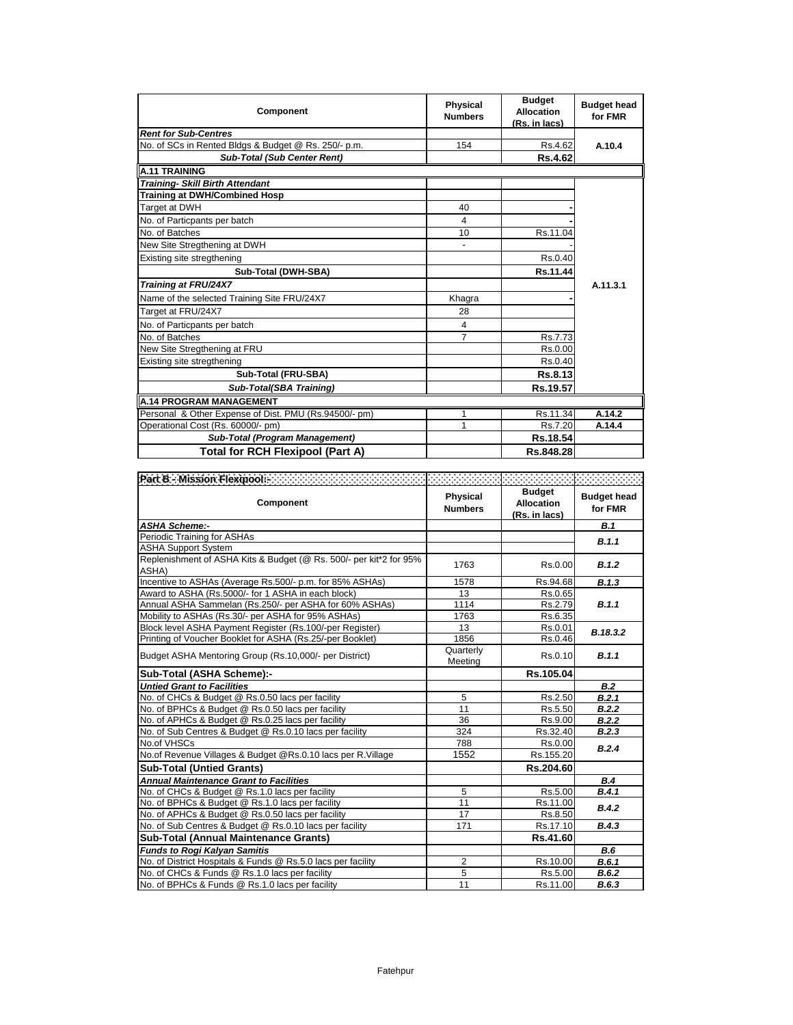| Component                                             | <b>Physical</b><br><b>Numbers</b> | <b>Budget</b><br><b>Allocation</b><br>(Rs. in lacs) | <b>Budget head</b><br>for FMR |
|-------------------------------------------------------|-----------------------------------|-----------------------------------------------------|-------------------------------|
| <b>Rent for Sub-Centres</b>                           |                                   |                                                     |                               |
| No. of SCs in Rented Bldgs & Budget @ Rs. 250/- p.m.  | 154                               | Rs.4.62                                             | A.10.4                        |
| <b>Sub-Total (Sub Center Rent)</b>                    |                                   | <b>Rs.4.62</b>                                      |                               |
| <b>A.11 TRAINING</b>                                  |                                   |                                                     |                               |
| <b>Training- Skill Birth Attendant</b>                |                                   |                                                     |                               |
| Training at DWH/Combined Hosp                         |                                   |                                                     |                               |
| Target at DWH                                         | 40                                |                                                     |                               |
| No. of Particpants per batch                          | 4                                 |                                                     |                               |
| No. of Batches                                        | 10                                | Rs.11.04                                            |                               |
| New Site Stregthening at DWH                          |                                   |                                                     |                               |
| Existing site stregthening                            |                                   | Rs.0.40                                             |                               |
| Sub-Total (DWH-SBA)                                   |                                   | Rs.11.44                                            |                               |
| Training at FRU/24X7                                  |                                   |                                                     | A.11.3.1                      |
| Name of the selected Training Site FRU/24X7           | Khagra                            |                                                     |                               |
| Target at FRU/24X7                                    | 28                                |                                                     |                               |
| No. of Particpants per batch                          | 4                                 |                                                     |                               |
| No. of Batches                                        | 7                                 | Rs.7.73                                             |                               |
| New Site Stregthening at FRU                          |                                   | Rs.0.00                                             |                               |
| Existing site stregthening                            |                                   | Rs.0.40                                             |                               |
| Sub-Total (FRU-SBA)                                   |                                   | Rs.8.13                                             |                               |
| Sub-Total(SBA Training)                               |                                   | Rs.19.57                                            |                               |
| A.14 PROGRAM MANAGEMENT                               |                                   |                                                     |                               |
| Personal & Other Expense of Dist. PMU (Rs.94500/- pm) | 1                                 | Rs.11.34                                            | A.14.2                        |
| Operational Cost (Rs. 60000/- pm)                     | 1                                 | Rs.7.20                                             | A.14.4                        |
| Sub-Total (Program Management)                        |                                   | Rs.18.54                                            |                               |
| <b>Total for RCH Flexipool (Part A)</b>               |                                   | Rs.848.28                                           |                               |

| Part B - Mission Flexipool Advancement Contract Contract Contract Contract Contract Contract Contract Contract Contract Contract Contract Contract Contract Contract Contract Contract Contract Contract Contract Contract Con<br>Component | <b>Physical</b><br><b>Numbers</b> | <b>Budget</b><br><b>Allocation</b><br>(Rs. in lacs) | <b>Budget head</b><br>for FMR |
|---------------------------------------------------------------------------------------------------------------------------------------------------------------------------------------------------------------------------------------------|-----------------------------------|-----------------------------------------------------|-------------------------------|
| <b>ASHA Scheme:-</b>                                                                                                                                                                                                                        |                                   |                                                     | B.1                           |
| Periodic Training for ASHAs                                                                                                                                                                                                                 |                                   |                                                     | B.1.1                         |
| <b>ASHA Support System</b>                                                                                                                                                                                                                  |                                   |                                                     |                               |
| Replenishment of ASHA Kits & Budget (@ Rs. 500/- per kit*2 for 95%<br>ASHA)                                                                                                                                                                 | 1763                              | Rs.0.00                                             | B.1.2                         |
| Incentive to ASHAs (Average Rs.500/- p.m. for 85% ASHAs)                                                                                                                                                                                    | 1578                              | Rs.94.68                                            | B.1.3                         |
| Award to ASHA (Rs.5000/- for 1 ASHA in each block)                                                                                                                                                                                          | 13                                | Rs.0.65                                             |                               |
| Annual ASHA Sammelan (Rs.250/- per ASHA for 60% ASHAs)                                                                                                                                                                                      | 1114                              | Rs.2.79                                             | B.1.1                         |
| Mobility to ASHAs (Rs.30/- per ASHA for 95% ASHAs)                                                                                                                                                                                          | 1763                              | Rs.6.35                                             |                               |
| Block level ASHA Payment Register (Rs.100/-per Register)                                                                                                                                                                                    | 13                                | Rs.0.01                                             | B.18.3.2                      |
| Printing of Voucher Booklet for ASHA (Rs.25/-per Booklet)                                                                                                                                                                                   | 1856                              | Rs.0.46                                             |                               |
| Budget ASHA Mentoring Group (Rs.10,000/- per District)                                                                                                                                                                                      | Quarterly<br>Meeting              | Rs.0.10                                             | B.1.1                         |
| Sub-Total (ASHA Scheme):-                                                                                                                                                                                                                   |                                   | Rs.105.04                                           |                               |
| <b>Untied Grant to Facilities</b>                                                                                                                                                                                                           |                                   |                                                     | <b>B.2</b>                    |
| No. of CHCs & Budget @ Rs.0.50 lacs per facility                                                                                                                                                                                            | 5                                 | Rs.2.50                                             | B.2.1                         |
| No. of BPHCs & Budget @ Rs.0.50 lacs per facility                                                                                                                                                                                           | 11                                | Rs.5.50                                             | B.2.2                         |
| No. of APHCs & Budget @ Rs.0.25 lacs per facility                                                                                                                                                                                           | 36                                | Rs.9.00                                             | B.2.2                         |
| No. of Sub Centres & Budget @ Rs.0.10 lacs per facility                                                                                                                                                                                     | 324                               | Rs.32.40                                            | B.2.3                         |
| No.of VHSCs                                                                                                                                                                                                                                 | 788                               | Rs.0.00                                             | B.2.4                         |
| No.of Revenue Villages & Budget @Rs.0.10 lacs per R.Village                                                                                                                                                                                 | 1552                              | Rs.155.20                                           |                               |
| <b>Sub-Total (Untied Grants)</b>                                                                                                                                                                                                            |                                   | Rs.204.60                                           |                               |
| <b>Annual Maintenance Grant to Facilities</b>                                                                                                                                                                                               |                                   |                                                     | B.4                           |
| No. of CHCs & Budget @ Rs.1.0 lacs per facility                                                                                                                                                                                             | 5                                 | Rs.5.00                                             | B.4.1                         |
| No. of BPHCs & Budget @ Rs.1.0 lacs per facility                                                                                                                                                                                            | 11                                | Rs.11.00                                            | B.4.2                         |
| No. of APHCs & Budget @ Rs.0.50 lacs per facility                                                                                                                                                                                           | 17                                | Rs.8.50                                             |                               |
| No. of Sub Centres & Budget @ Rs.0.10 lacs per facility                                                                                                                                                                                     | 171                               | Rs.17.10                                            | B.4.3                         |
| Sub-Total (Annual Maintenance Grants)                                                                                                                                                                                                       |                                   | Rs.41.60                                            |                               |
| <b>Funds to Rogi Kalyan Samitis</b>                                                                                                                                                                                                         |                                   |                                                     | B.6                           |
| No. of District Hospitals & Funds @ Rs.5.0 lacs per facility                                                                                                                                                                                | $\overline{2}$                    | Rs.10.00                                            | B.6.1                         |
| No. of CHCs & Funds @ Rs.1.0 lacs per facility                                                                                                                                                                                              | 5                                 | Rs.5.00                                             | B.6.2                         |
| No. of BPHCs & Funds @ Rs.1.0 lacs per facility                                                                                                                                                                                             | 11                                | Rs.11.00                                            | B.6.3                         |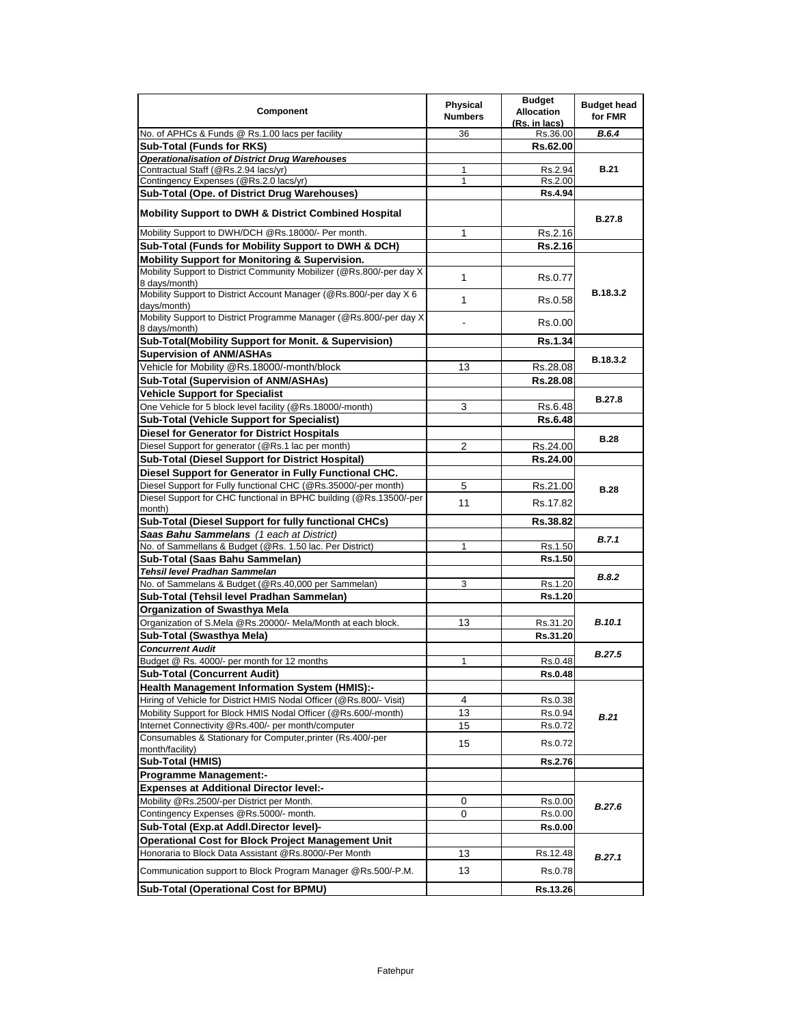| Component                                                                                        | <b>Physical</b><br><b>Numbers</b> | <b>Budget</b><br><b>Allocation</b><br>(Rs. in lacs) | <b>Budget head</b><br>for FMR |
|--------------------------------------------------------------------------------------------------|-----------------------------------|-----------------------------------------------------|-------------------------------|
| No. of APHCs & Funds @ Rs.1.00 lacs per facility                                                 | 36                                | Rs.36.00                                            | B.6.4                         |
| Sub-Total (Funds for RKS)                                                                        |                                   | Rs.62.00                                            |                               |
| <b>Operationalisation of District Drug Warehouses</b>                                            |                                   |                                                     |                               |
| Contractual Staff (@Rs.2.94 lacs/yr)                                                             | 1                                 | Rs.2.94                                             | <b>B.21</b>                   |
| Contingency Expenses (@Rs.2.0 lacs/yr)                                                           | $\mathbf{1}$                      | Rs.2.00                                             |                               |
| Sub-Total (Ope. of District Drug Warehouses)                                                     |                                   | Rs.4.94                                             |                               |
| <b>Mobility Support to DWH &amp; District Combined Hospital</b>                                  |                                   |                                                     | B.27.8                        |
| Mobility Support to DWH/DCH @Rs.18000/- Per month.                                               | 1                                 | Rs.2.16                                             |                               |
| Sub-Total (Funds for Mobility Support to DWH & DCH)                                              |                                   | Rs.2.16                                             |                               |
| Mobility Support for Monitoring & Supervision.                                                   |                                   |                                                     |                               |
| Mobility Support to District Community Mobilizer (@Rs.800/-per day X)<br>8 days/month)           | 1                                 | Rs.0.77                                             |                               |
| Mobility Support to District Account Manager (@Rs.800/-per day X 6<br>days/month)                | 1                                 | Rs.0.58                                             | B.18.3.2                      |
| Mobility Support to District Programme Manager (@Rs.800/-per day X)<br>8 days/month)             | $\blacksquare$                    | Rs.0.00                                             |                               |
| Sub-Total(Mobility Support for Monit. & Supervision)                                             |                                   | <b>Rs.1.34</b>                                      |                               |
| <b>Supervision of ANM/ASHAs</b>                                                                  |                                   |                                                     | B.18.3.2                      |
| Vehicle for Mobility @Rs.18000/-month/block                                                      | 13                                | Rs.28.08                                            |                               |
| Sub-Total (Supervision of ANM/ASHAs)                                                             |                                   | Rs.28.08                                            |                               |
| <b>Vehicle Support for Specialist</b>                                                            |                                   |                                                     |                               |
| One Vehicle for 5 block level facility (@Rs.18000/-month)                                        | 3                                 | Rs.6.48                                             | <b>B.27.8</b>                 |
| <b>Sub-Total (Vehicle Support for Specialist)</b>                                                |                                   | <b>Rs.6.48</b>                                      |                               |
| Diesel for Generator for District Hospitals                                                      |                                   |                                                     | <b>B.28</b>                   |
| Diesel Support for generator (@Rs.1 lac per month)                                               | 2                                 | Rs.24.00                                            |                               |
| Sub-Total (Diesel Support for District Hospital)                                                 |                                   | Rs.24.00                                            |                               |
| Diesel Support for Generator in Fully Functional CHC.                                            |                                   |                                                     |                               |
| Diesel Support for Fully functional CHC (@Rs.35000/-per month)                                   | 5                                 | Rs.21.00                                            | <b>B.28</b>                   |
| Diesel Support for CHC functional in BPHC building (@Rs.13500/-per                               | 11                                | Rs.17.82                                            |                               |
| month)                                                                                           |                                   |                                                     |                               |
| Sub-Total (Diesel Support for fully functional CHCs)                                             |                                   | Rs.38.82                                            |                               |
| Saas Bahu Sammelans (1 each at District)                                                         |                                   |                                                     | B.7.1                         |
| No. of Sammellans & Budget (@Rs. 1.50 lac. Per District)                                         | $\mathbf{1}$                      | Rs.1.50                                             |                               |
| Sub-Total (Saas Bahu Sammelan)                                                                   |                                   | <b>Rs.1.50</b>                                      |                               |
| Tehsil level Pradhan Sammelan                                                                    |                                   |                                                     | B.8.2                         |
| No. of Sammelans & Budget (@Rs.40,000 per Sammelan)<br>Sub-Total (Tehsil level Pradhan Sammelan) | 3                                 | Rs.1.20                                             |                               |
|                                                                                                  |                                   | Rs.1.20                                             |                               |
| Organization of Swasthya Mela                                                                    |                                   |                                                     | <b>B.10.1</b>                 |
| Organization of S.Mela @Rs.20000/- Mela/Month at each block.                                     | 13                                | Rs.31.20                                            |                               |
| Sub-Total (Swasthya Mela)                                                                        |                                   | Rs.31.20                                            |                               |
| <b>Concurrent Audit</b><br>Budget @ Rs. 4000/- per month for 12 months                           | 1                                 |                                                     | <b>B.27.5</b>                 |
| <b>Sub-Total (Concurrent Audit)</b>                                                              |                                   | Rs.0.48<br>Rs.0.48                                  |                               |
| <b>Health Management Information System (HMIS):-</b>                                             |                                   |                                                     |                               |
| Hiring of Vehicle for District HMIS Nodal Officer (@Rs.800/- Visit)                              | 4                                 | Rs.0.38                                             |                               |
| Mobility Support for Block HMIS Nodal Officer (@Rs.600/-month)                                   | 13                                | Rs.0.94                                             |                               |
| Internet Connectivity @Rs.400/- per month/computer                                               | 15                                | Rs.0.72                                             | <b>B.21</b>                   |
| Consumables & Stationary for Computer, printer (Rs.400/-per                                      |                                   |                                                     |                               |
| month/facility)                                                                                  | 15                                | Rs.0.72                                             |                               |
| Sub-Total (HMIS)                                                                                 |                                   | <b>Rs.2.76</b>                                      |                               |
| <b>Programme Management:-</b>                                                                    |                                   |                                                     |                               |
| <b>Expenses at Additional Director level:-</b>                                                   |                                   |                                                     |                               |
| Mobility @Rs.2500/-per District per Month.                                                       | 0                                 | Rs.0.00                                             | <b>B.27.6</b>                 |
| Contingency Expenses @Rs.5000/- month.                                                           | 0                                 | Rs.0.00                                             |                               |
| Sub-Total (Exp.at Addl.Director level)-                                                          |                                   | <b>Rs.0.00</b>                                      |                               |
| <b>Operational Cost for Block Project Management Unit</b>                                        |                                   |                                                     |                               |
| Honoraria to Block Data Assistant @Rs.8000/-Per Month                                            | 13                                | Rs.12.48                                            | B.27.1                        |
| Communication support to Block Program Manager @Rs.500/-P.M.                                     | 13                                | Rs.0.78                                             |                               |
| <b>Sub-Total (Operational Cost for BPMU)</b>                                                     |                                   | Rs.13.26                                            |                               |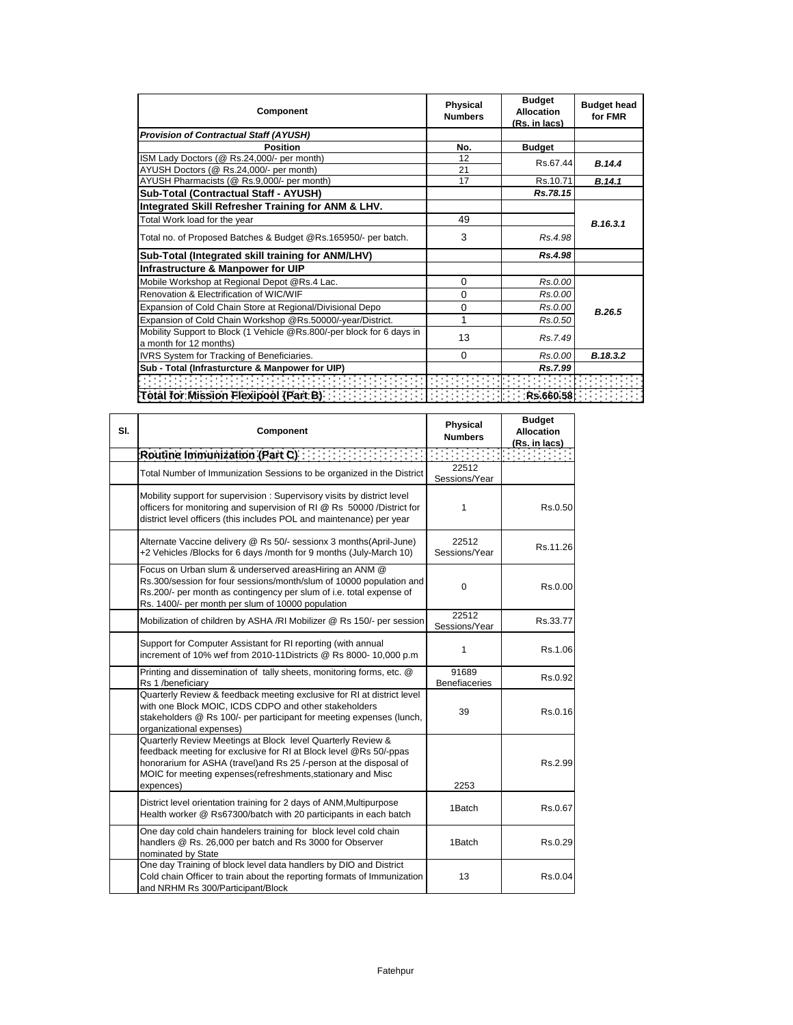| Component                                                             | <b>Physical</b><br><b>Numbers</b> | <b>Budget</b><br><b>Allocation</b><br>(Rs. in lacs) | <b>Budget head</b><br>for FMR |
|-----------------------------------------------------------------------|-----------------------------------|-----------------------------------------------------|-------------------------------|
| <b>Provision of Contractual Staff (AYUSH)</b>                         |                                   |                                                     |                               |
| Position                                                              | No.                               | <b>Budget</b>                                       |                               |
| ISM Lady Doctors (@ Rs.24,000/- per month)                            | 12                                | Rs.67.44                                            | B.14.4                        |
| AYUSH Doctors (@ Rs.24,000/- per month)                               | 21                                |                                                     |                               |
| AYUSH Pharmacists (@ Rs.9,000/- per month)                            | 17                                | Rs.10.71                                            | B.14.1                        |
| Sub-Total (Contractual Staff - AYUSH)                                 |                                   | Rs.78.15                                            |                               |
| Integrated Skill Refresher Training for ANM & LHV.                    |                                   |                                                     |                               |
| Total Work load for the year                                          | 49                                |                                                     | B.16.3.1                      |
| Total no. of Proposed Batches & Budget @Rs.165950/- per batch.        | 3                                 | Rs.4.98                                             |                               |
| Sub-Total (Integrated skill training for ANM/LHV)                     |                                   | Rs.4.98                                             |                               |
| Infrastructure & Manpower for UIP                                     |                                   |                                                     |                               |
| Mobile Workshop at Regional Depot @Rs.4 Lac.                          | 0                                 | Rs.0.00                                             |                               |
| Renovation & Electrification of WIC/WIF                               | 0                                 | Rs.0.00                                             |                               |
| Expansion of Cold Chain Store at Regional/Divisional Depo             | 0                                 | Rs.0.00                                             | B.26.5                        |
| Expansion of Cold Chain Workshop @Rs.50000/-year/District.            | 1                                 | Rs.0.50                                             |                               |
| Mobility Support to Block (1 Vehicle @Rs.800/-per block for 6 days in | 13                                | Rs.7.49                                             |                               |
| a month for 12 months)                                                |                                   |                                                     |                               |
| IVRS System for Tracking of Beneficiaries.                            | 0                                 | Rs.0.00                                             | B.18.3.2                      |
| Sub - Total (Infrasturcture & Manpower for UIP)                       |                                   | Rs.7.99                                             |                               |
|                                                                       |                                   |                                                     |                               |
| Total for Mission Flexipool (Part B)                                  |                                   | Rs.660.58                                           |                               |

| SI. | Component                                                                                                                                                                                                                                                                         | <b>Physical</b><br><b>Numbers</b> | <b>Budget</b><br><b>Allocation</b><br>(Rs. in lacs) |
|-----|-----------------------------------------------------------------------------------------------------------------------------------------------------------------------------------------------------------------------------------------------------------------------------------|-----------------------------------|-----------------------------------------------------|
|     | Routine Immunization (Part C)                                                                                                                                                                                                                                                     |                                   |                                                     |
|     | Total Number of Immunization Sessions to be organized in the District                                                                                                                                                                                                             | 22512<br>Sessions/Year            |                                                     |
|     | Mobility support for supervision: Supervisory visits by district level<br>officers for monitoring and supervision of RI @ Rs 50000 /District for<br>district level officers (this includes POL and maintenance) per year                                                          | 1                                 | Rs.0.50                                             |
|     | Alternate Vaccine delivery @ Rs 50/- sessionx 3 months(April-June)<br>+2 Vehicles /Blocks for 6 days /month for 9 months (July-March 10)                                                                                                                                          | 22512<br>Sessions/Year            | Rs.11.26                                            |
|     | Focus on Urban slum & underserved areasHiring an ANM @<br>Rs.300/session for four sessions/month/slum of 10000 population and<br>Rs.200/- per month as contingency per slum of i.e. total expense of<br>Rs. 1400/- per month per slum of 10000 population                         | $\Omega$                          | Rs.0.00                                             |
|     | Mobilization of children by ASHA /RI Mobilizer @ Rs 150/- per session                                                                                                                                                                                                             | 22512<br>Sessions/Year            | Rs.33.77                                            |
|     | Support for Computer Assistant for RI reporting (with annual<br>increment of 10% wef from 2010-11Districts @ Rs 8000- 10,000 p.m                                                                                                                                                  | 1                                 | Rs.1.06                                             |
|     | Printing and dissemination of tally sheets, monitoring forms, etc. @<br>Rs 1 /beneficiary                                                                                                                                                                                         | 91689<br><b>Benefiaceries</b>     | Rs.0.92                                             |
|     | Quarterly Review & feedback meeting exclusive for RI at district level<br>with one Block MOIC, ICDS CDPO and other stakeholders<br>stakeholders @ Rs 100/- per participant for meeting expenses (lunch,<br>organizational expenses)                                               | 39                                | Rs.0.16                                             |
|     | Quarterly Review Meetings at Block level Quarterly Review &<br>feedback meeting for exclusive for RI at Block level @Rs 50/-ppas<br>honorarium for ASHA (travel)and Rs 25 /-person at the disposal of<br>MOIC for meeting expenses(refreshments, stationary and Misc<br>expences) | 2253                              | Rs.2.99                                             |
|     | District level orientation training for 2 days of ANM, Multipurpose<br>Health worker @ Rs67300/batch with 20 participants in each batch                                                                                                                                           | 1Batch                            | Rs.0.67                                             |
|     | One day cold chain handelers training for block level cold chain<br>handlers @ Rs. 26,000 per batch and Rs 3000 for Observer<br>nominated by State                                                                                                                                | 1Batch                            | Rs.0.29                                             |
|     | One day Training of block level data handlers by DIO and District<br>Cold chain Officer to train about the reporting formats of Immunization<br>and NRHM Rs 300/Participant/Block                                                                                                 | 13                                | Rs.0.04                                             |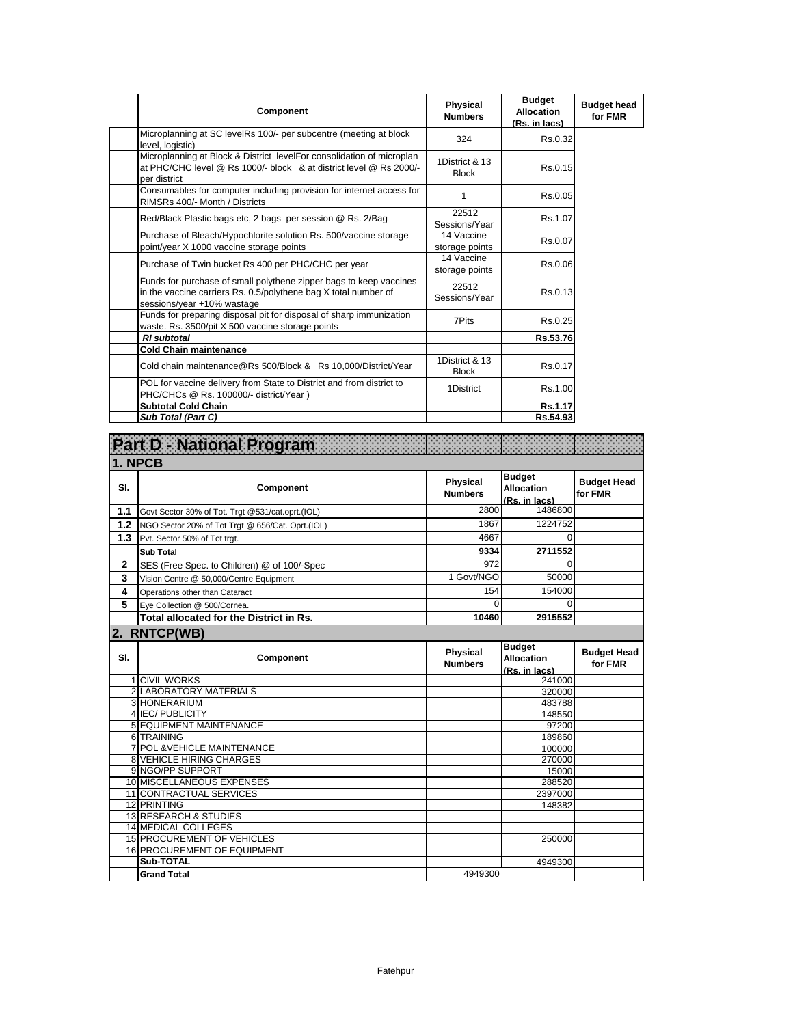| Component                                                                                                                                                           | Physical<br><b>Numbers</b>     | <b>Budget</b><br><b>Allocation</b><br>(Rs. in lacs) | <b>Budget head</b><br>for FMR |
|---------------------------------------------------------------------------------------------------------------------------------------------------------------------|--------------------------------|-----------------------------------------------------|-------------------------------|
| Microplanning at SC levelRs 100/- per subcentre (meeting at block<br>level. logistic)                                                                               | 324                            | Rs.0.32                                             |                               |
| Microplanning at Block & District levelFor consolidation of microplan<br>at PHC/CHC level @ Rs 1000/- block & at district level @ Rs 2000/-<br>per district         | 1District & 13<br><b>Block</b> | Rs.0.15                                             |                               |
| Consumables for computer including provision for internet access for<br>RIMSRs 400/- Month / Districts                                                              | 1                              | Rs.0.05                                             |                               |
| Red/Black Plastic bags etc, 2 bags per session @ Rs. 2/Bag                                                                                                          | 22512<br>Sessions/Year         | Rs.1.07                                             |                               |
| Purchase of Bleach/Hypochlorite solution Rs. 500/vaccine storage<br>point/year X 1000 vaccine storage points                                                        | 14 Vaccine<br>storage points   | Rs.0.07                                             |                               |
| Purchase of Twin bucket Rs 400 per PHC/CHC per year                                                                                                                 | 14 Vaccine<br>storage points   | Rs.0.06                                             |                               |
| Funds for purchase of small polythene zipper bags to keep vaccines<br>in the vaccine carriers Rs. 0.5/polythene bag X total number of<br>sessions/year +10% wastage | 22512<br>Sessions/Year         | Rs.0.13                                             |                               |
| Funds for preparing disposal pit for disposal of sharp immunization<br>waste. Rs. 3500/pit X 500 vaccine storage points                                             | 7Pits                          | Rs.0.25                                             |                               |
| <b>RI</b> subtotal                                                                                                                                                  |                                | Rs.53.76                                            |                               |
| <b>Cold Chain maintenance</b>                                                                                                                                       |                                |                                                     |                               |
| Cold chain maintenance@Rs 500/Block & Rs 10,000/District/Year                                                                                                       | 1District & 13<br><b>Block</b> | Rs.0.17                                             |                               |
| POL for vaccine delivery from State to District and from district to<br>PHC/CHCs @ Rs. 100000/- district/Year )                                                     | 1District                      | Rs.1.00                                             |                               |
| <b>Subtotal Cold Chain</b>                                                                                                                                          |                                | Rs.1.17                                             |                               |
| Sub Total (Part C)                                                                                                                                                  |                                | Rs.54.93                                            |                               |

|              | Part D National Program                                         |                                   |                                                     |                               |
|--------------|-----------------------------------------------------------------|-----------------------------------|-----------------------------------------------------|-------------------------------|
| 1. NPCB      |                                                                 |                                   |                                                     |                               |
| SI.          | Component                                                       | Physical<br><b>Numbers</b>        | <b>Budget</b><br><b>Allocation</b><br>(Rs. in lacs) | <b>Budget Head</b><br>for FMR |
| 1.1          | Govt Sector 30% of Tot. Trgt @531/cat.oprt.(IOL)                | 2800                              | 1486800                                             |                               |
| 1.2          | NGO Sector 20% of Tot Trgt @ 656/Cat. Oprt.(IOL)                | 1867                              | 1224752                                             |                               |
| 1.3          | Pvt. Sector 50% of Tot trgt.                                    | 4667                              | 0                                                   |                               |
|              | <b>Sub Total</b>                                                | 9334                              | 2711552                                             |                               |
| $\mathbf{2}$ | SES (Free Spec. to Children) @ of 100/-Spec                     | 972                               | $\Omega$                                            |                               |
| 3            | Vision Centre @ 50,000/Centre Equipment                         | 1 Govt/NGO                        | 50000                                               |                               |
| 4            | Operations other than Cataract                                  | 154                               | 154000                                              |                               |
| 5            | Eye Collection @ 500/Cornea.                                    | $\Omega$                          | 0                                                   |                               |
|              | Total allocated for the District in Rs.                         | 10460                             | 2915552                                             |                               |
|              | 2. RNTCP(WB)                                                    |                                   |                                                     |                               |
| SI.          | Component                                                       | <b>Physical</b><br><b>Numbers</b> | <b>Budget</b><br><b>Allocation</b><br>(Rs. in lacs) | <b>Budget Head</b><br>for FMR |
|              | <b>1 CIVIL WORKS</b>                                            |                                   | 241000                                              |                               |
|              | 2 LABORATORY MATERIALS<br>3 HONERARIUM                          |                                   | 320000                                              |                               |
|              | 4 IEC/PUBLICITY                                                 |                                   | 483788<br>148550                                    |                               |
|              | <b>5 EQUIPMENT MAINTENANCE</b>                                  |                                   | 97200                                               |                               |
|              | 6 TRAINING                                                      |                                   | 189860                                              |                               |
| 7            | <b>POL &amp;VEHICLE MAINTENANCE</b>                             |                                   | 100000                                              |                               |
|              | <b>8 VEHICLE HIRING CHARGES</b>                                 |                                   | 270000                                              |                               |
|              | 9 NGO/PP SUPPORT                                                |                                   | 15000                                               |                               |
|              | 10 MISCELLANEOUS EXPENSES                                       |                                   | 288520                                              |                               |
|              | 11 CONTRACTUAL SERVICES                                         |                                   | 2397000                                             |                               |
|              | 12 PRINTING                                                     |                                   | 148382                                              |                               |
|              | 13 RESEARCH & STUDIES                                           |                                   |                                                     |                               |
|              | <b>14 MEDICAL COLLEGES</b><br><b>15 PROCUREMENT OF VEHICLES</b> |                                   | 250000                                              |                               |
|              | 16 PROCUREMENT OF EQUIPMENT                                     |                                   |                                                     |                               |
|              | <b>Sub-TOTAL</b>                                                |                                   | 4949300                                             |                               |
|              | <b>Grand Total</b>                                              | 4949300                           |                                                     |                               |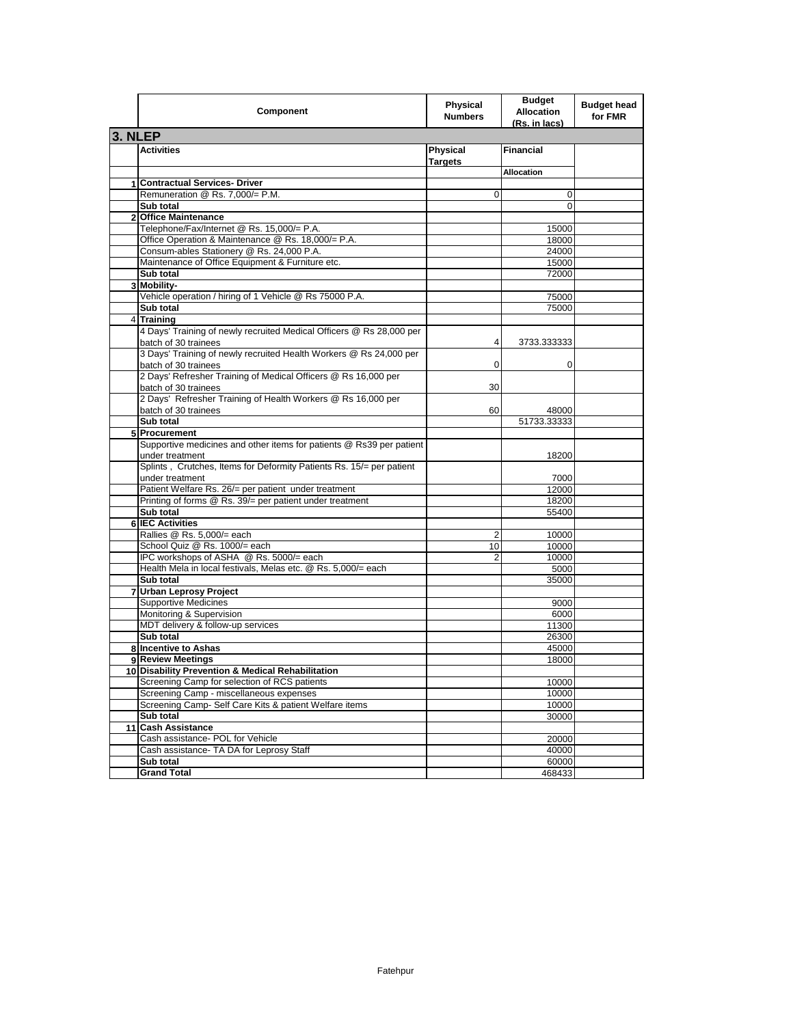|                | Component                                                                                    | <b>Physical</b><br><b>Numbers</b> | <b>Budget</b><br><b>Allocation</b><br>(Rs. in lacs) | <b>Budget head</b><br>for FMR |
|----------------|----------------------------------------------------------------------------------------------|-----------------------------------|-----------------------------------------------------|-------------------------------|
| 3. NLEP        |                                                                                              |                                   |                                                     |                               |
|                | <b>Activities</b>                                                                            | Physical<br><b>Targets</b>        | <b>Financial</b>                                    |                               |
|                |                                                                                              |                                   | <b>Allocation</b>                                   |                               |
|                | 1 Contractual Services- Driver                                                               |                                   |                                                     |                               |
|                | Remuneration @ Rs. 7,000/= P.M.                                                              | 0                                 | 0                                                   |                               |
|                | Sub total                                                                                    |                                   | 0                                                   |                               |
| $\mathbf{2}$   | <b>Office Maintenance</b>                                                                    |                                   |                                                     |                               |
|                | Telephone/Fax/Internet @ Rs. 15,000/= P.A.                                                   |                                   | 15000                                               |                               |
|                | Office Operation & Maintenance @ Rs. 18,000/= P.A.                                           |                                   | 18000                                               |                               |
|                | Consum-ables Stationery @ Rs. 24,000 P.A.                                                    |                                   | 24000                                               |                               |
|                | Maintenance of Office Equipment & Furniture etc.                                             |                                   | 15000                                               |                               |
|                | Sub total                                                                                    |                                   | 72000                                               |                               |
|                | 3 Mobility-                                                                                  |                                   |                                                     |                               |
|                | Vehicle operation / hiring of 1 Vehicle @ Rs 75000 P.A.                                      |                                   | 75000                                               |                               |
|                | Sub total                                                                                    |                                   | 75000                                               |                               |
| $\overline{4}$ | <b>Training</b>                                                                              |                                   |                                                     |                               |
|                | 4 Days' Training of newly recruited Medical Officers @ Rs 28,000 per<br>batch of 30 trainees | 4                                 | 3733.333333                                         |                               |
|                | 3 Days' Training of newly recruited Health Workers @ Rs 24,000 per<br>batch of 30 trainees   | 0                                 | 0                                                   |                               |
|                | 2 Days' Refresher Training of Medical Officers @ Rs 16,000 per<br>batch of 30 trainees       | 30                                |                                                     |                               |
|                | 2 Days' Refresher Training of Health Workers @ Rs 16,000 per                                 |                                   |                                                     |                               |
|                | batch of 30 trainees<br>Sub total                                                            | 60                                | 48000<br>51733.33333                                |                               |
|                | 5 Procurement                                                                                |                                   |                                                     |                               |
|                | Supportive medicines and other items for patients @ Rs39 per patient                         |                                   |                                                     |                               |
|                | under treatment                                                                              |                                   | 18200                                               |                               |
|                | Splints, Crutches, Items for Deformity Patients Rs. 15/= per patient<br>under treatment      |                                   | 7000                                                |                               |
|                | Patient Welfare Rs. 26/= per patient under treatment                                         |                                   | 12000                                               |                               |
|                | Printing of forms @ Rs. 39/= per patient under treatment                                     |                                   | 18200                                               |                               |
|                | Sub total                                                                                    |                                   | 55400                                               |                               |
|                | <b>6 IEC Activities</b>                                                                      |                                   |                                                     |                               |
|                | Rallies @ Rs. 5,000/= each                                                                   | $\overline{2}$                    | 10000                                               |                               |
|                | School Quiz @ Rs. 1000/= each                                                                | 10                                | 10000                                               |                               |
|                | IPC workshops of ASHA @ Rs. 5000/= each                                                      | $\overline{2}$                    | 10000                                               |                               |
|                | Health Mela in local festivals, Melas etc. @ Rs. 5,000/= each                                |                                   | 5000                                                |                               |
|                | Sub total                                                                                    |                                   | 35000                                               |                               |
|                | 7 Urban Leprosy Project                                                                      |                                   |                                                     |                               |
|                | <b>Supportive Medicines</b>                                                                  |                                   | 9000                                                |                               |
|                | Monitoring & Supervision                                                                     |                                   | 6000                                                |                               |
|                | MDT delivery & follow-up services                                                            |                                   | 11300                                               |                               |
|                | Sub total                                                                                    |                                   | 26300                                               |                               |
|                | 8 Incentive to Ashas                                                                         |                                   | 45000                                               |                               |
|                | 9 Review Meetings<br>10 Disability Prevention & Medical Rehabilitation                       |                                   | 18000                                               |                               |
|                | Screening Camp for selection of RCS patients                                                 |                                   |                                                     |                               |
|                | Screening Camp - miscellaneous expenses                                                      |                                   | 10000<br>10000                                      |                               |
|                | Screening Camp- Self Care Kits & patient Welfare items                                       |                                   | 10000                                               |                               |
|                | Sub total                                                                                    |                                   | 30000                                               |                               |
|                | 11 Cash Assistance                                                                           |                                   |                                                     |                               |
|                | Cash assistance- POL for Vehicle                                                             |                                   | 20000                                               |                               |
|                | Cash assistance- TA DA for Leprosy Staff                                                     |                                   | 40000                                               |                               |
|                | Sub total                                                                                    |                                   | 60000                                               |                               |
|                | <b>Grand Total</b>                                                                           |                                   | 468433                                              |                               |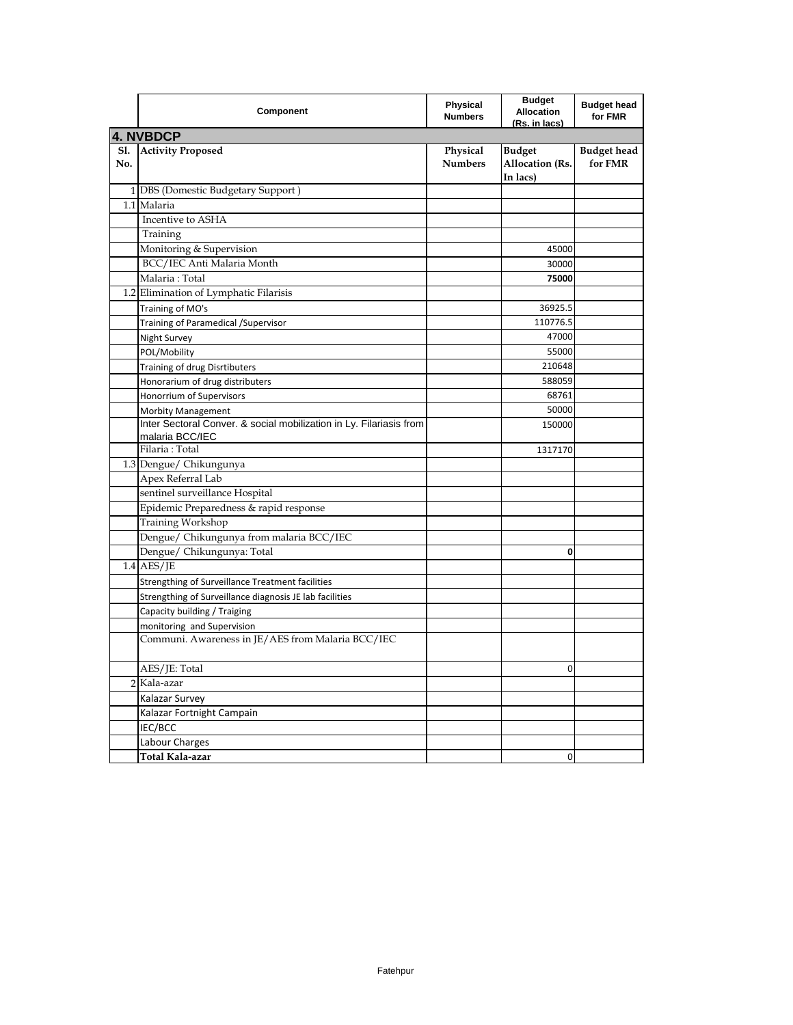|                   | Component                                                                              | Physical<br><b>Numbers</b> | <b>Budget</b><br><b>Allocation</b><br>(Rs. in lacs) | <b>Budget head</b><br>for FMR |  |  |
|-------------------|----------------------------------------------------------------------------------------|----------------------------|-----------------------------------------------------|-------------------------------|--|--|
|                   | <b>4. NVBDCP</b>                                                                       |                            |                                                     |                               |  |  |
| <b>S1.</b><br>No. | <b>Activity Proposed</b>                                                               | Physical<br><b>Numbers</b> | <b>Budget</b><br><b>Allocation</b> (Rs.<br>In lacs) | <b>Budget head</b><br>for FMR |  |  |
|                   | 1 DBS (Domestic Budgetary Support)                                                     |                            |                                                     |                               |  |  |
|                   | 1.1 Malaria                                                                            |                            |                                                     |                               |  |  |
|                   | Incentive to ASHA                                                                      |                            |                                                     |                               |  |  |
|                   | Training                                                                               |                            |                                                     |                               |  |  |
|                   | Monitoring & Supervision                                                               |                            | 45000                                               |                               |  |  |
|                   | BCC/IEC Anti Malaria Month                                                             |                            | 30000                                               |                               |  |  |
|                   | Malaria: Total                                                                         |                            | 75000                                               |                               |  |  |
|                   | 1.2 Elimination of Lymphatic Filarisis                                                 |                            |                                                     |                               |  |  |
|                   | Training of MO's                                                                       |                            | 36925.5                                             |                               |  |  |
|                   | Training of Paramedical / Supervisor                                                   |                            | 110776.5                                            |                               |  |  |
|                   | Night Survey                                                                           |                            | 47000                                               |                               |  |  |
|                   | POL/Mobility                                                                           |                            | 55000                                               |                               |  |  |
|                   | Training of drug Disrtibuters                                                          |                            | 210648                                              |                               |  |  |
|                   | Honorarium of drug distributers                                                        |                            | 588059                                              |                               |  |  |
|                   | Honorrium of Supervisors                                                               |                            | 68761                                               |                               |  |  |
|                   | Morbity Management                                                                     |                            | 50000                                               |                               |  |  |
|                   | Inter Sectoral Conver. & social mobilization in Ly. Filariasis from<br>malaria BCC/IEC |                            | 150000                                              |                               |  |  |
|                   | Filaria: Total                                                                         |                            | 1317170                                             |                               |  |  |
|                   | 1.3 Dengue/ Chikungunya                                                                |                            |                                                     |                               |  |  |
|                   | Apex Referral Lab                                                                      |                            |                                                     |                               |  |  |
|                   | sentinel surveillance Hospital                                                         |                            |                                                     |                               |  |  |
|                   | Epidemic Preparedness & rapid response                                                 |                            |                                                     |                               |  |  |
|                   | Training Workshop                                                                      |                            |                                                     |                               |  |  |
|                   | Dengue/ Chikungunya from malaria BCC/IEC                                               |                            |                                                     |                               |  |  |
|                   | Dengue/ Chikungunya: Total                                                             |                            | 0                                                   |                               |  |  |
|                   | $1.4$ AES/JE                                                                           |                            |                                                     |                               |  |  |
|                   | Strengthing of Surveillance Treatment facilities                                       |                            |                                                     |                               |  |  |
|                   | Strengthing of Surveillance diagnosis JE lab facilities                                |                            |                                                     |                               |  |  |
|                   | Capacity building / Traiging                                                           |                            |                                                     |                               |  |  |
|                   | monitoring and Supervision                                                             |                            |                                                     |                               |  |  |
|                   | Communi. Awareness in JE/AES from Malaria BCC/IEC                                      |                            |                                                     |                               |  |  |
|                   | AES/JE: Total                                                                          |                            | 0                                                   |                               |  |  |
|                   | 2 Kala-azar                                                                            |                            |                                                     |                               |  |  |
|                   | Kalazar Survey                                                                         |                            |                                                     |                               |  |  |
|                   | Kalazar Fortnight Campain                                                              |                            |                                                     |                               |  |  |
|                   | IEC/BCC                                                                                |                            |                                                     |                               |  |  |
|                   | Labour Charges                                                                         |                            |                                                     |                               |  |  |
|                   | Total Kala-azar                                                                        |                            | 0                                                   |                               |  |  |